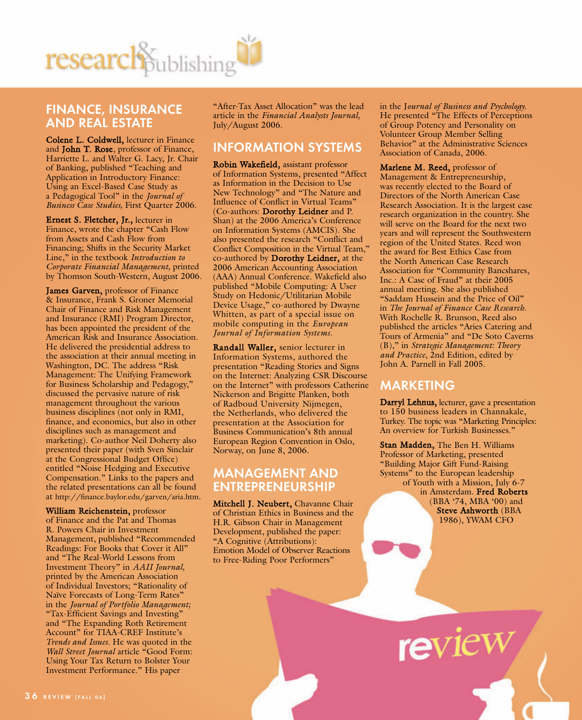

### **FINANCE, INSURANCE AND REAL ESTATE**

Colene L. Coldwell, lecturer in Finance and John T. Rose, professor of Finance, Harriette L. and Walter G. Lacy, Jr. Chair of Banking, published "Teaching and Application in Introductory Finance: Using an Excel-Based Case Study as a Pedagogical Tool" in the *Journal of Business Case Studies,* First Quarter 2006.

Ernest S. Fletcher, Jr., lecturer in Finance, wrote the chapter "Cash Flow from Assets and Cash Flow from Financing; Shifts in the Security Market Line," in the textbook *Introduction to Corporate Financial Management,* printed by Thomson South-Western, August 2006.

James Garven, professor of Finance & Insurance, Frank S. Groner Memorial Chair of Finance and Risk Management and Insurance (RMI) Program Director, has been appointed the president of the American Risk and Insurance Association. He delivered the presidential address to the association at their annual meeting in Washington, DC. The address "Risk Management: The Unifying Framework for Business Scholarship and Pedagogy," discussed the pervasive nature of risk management throughout the various business disciplines (not only in RMI, finance, and economics, but also in other disciplines such as management and marketing). Co-author Neil Doherty also presented their paper (with Sven Sinclair at the Congressional Budget Office) entitled "Noise Hedging and Executive Compensation." Links to the papers and the related presentations can all be found at http://finance.baylor.edu/garven/aria.htm.

William Reichenstein, professor of Finance and the Pat and Thomas R. Powers Chair in Investment Management, published "Recommended Readings: For Books that Cover it All" and "The Real-World Lessons from Investment Theory" in *AAII Journal,* printed by the American Association of Individual Investors; "Rationality of Naïve Forecasts of Long-Term Rates" in the *Journal of Portfolio Management;* "Tax-Efficient Savings and Investing" and "The Expanding Roth Retirement Account" for TIAA-CREF Institute's *Trends and Issues*. He was quoted in the *Wall Street Journal* article "Good Form: Using Your Tax Return to Bolster Your Investment Performance." His paper

"After-Tax Asset Allocation" was the lead article in the *Financial Analysts Journal,* July/August 2006.

### **INFORMATION SYSTEMS**

Robin Wakefield, assistant professor of Information Systems, presented "Affect as Information in the Decision to Use New Technology" and "The Nature and Influence of Conflict in Virtual Teams" (Co-authors: Dorothy Leidner and P. Shan) at the 2006 America's Conference on Information Systems (AMCIS). She also presented the research "Conflict and Conflict Composition in the Virtual Team," co-authored by Dorothy Leidner, at the 2006 American Accounting Association (AAA) Annual Conference. Wakefield also published "Mobile Computing: A User Study on Hedonic/Utilitarian Mobile Device Usage," co-authored by Dwayne Whitten, as part of a special issue on mobile computing in the *European Journal of Information Systems.*

Randall Waller, senior lecturer in Information Systems, authored the presentation "Reading Stories and Signs on the Internet: Analyzing CSR Discourse on the Internet" with professors Catherine Nickerson and Brigitte Planken, both of Radboud University Nijmegen, the Netherlands, who delivered the presentation at the Association for Business Communication's 8th annual European Region Convention in Oslo, Norway, on June 8, 2006.

#### **MANAGEMENT AND ENTREPRENEURSHIP**

Mitchell J. Neubert, Chavanne Chair of Christian Ethics in Business and the H.R. Gibson Chair in Management Development, published the paper: "A Cognitive (Attributions): Emotion Model of Observer Reactions to Free-Riding Poor Performers"

in the J*ournal of Business and Psychology.* He presented "The Effects of Perceptions of Group Potency and Personality on Volunteer Group Member Selling Behavior" at the Administrative Sciences Association of Canada, 2006.

Marlene M. Reed, professor of Management & Entrepreneurship, was recently elected to the Board of Directors of the North American Case Research Association. It is the largest case research organization in the country. She will serve on the Board for the next two years and will represent the Southwestern region of the United States. Reed won the award for Best Ethics Case from the North American Case Research Association for "Community Bancshares, Inc.: A Case of Fraud" at their 2005 annual meeting. She also published "Saddam Hussein and the Price of Oil" in *The Journal of Finance Case Research*. With Rochelle R. Brunson, Reed also published the articles "Aries Catering and Tours of Armenia" and "De Soto Caverns (B)," in *Strategic Management: Theory and Practice*, 2nd Edition, edited by John A. Parnell in Fall 2005.

### **MARKETING**

Darryl Lehnus, lecturer, gave a presentation to 150 business leaders in Channakale, Turkey. The topic was "Marketing Principles: An overview for Turkish Businesses."

Stan Madden, The Ben H. Williams Professor of Marketing, presented "Building Major Gift Fund-Raising Systems" to the European leadership of Youth with a Mission, July 6-7 in Amsterdam. Fred Roberts (BBA '74, MBA '00) and Steve Ashworth (BBA 1986), YWAM CFO

review